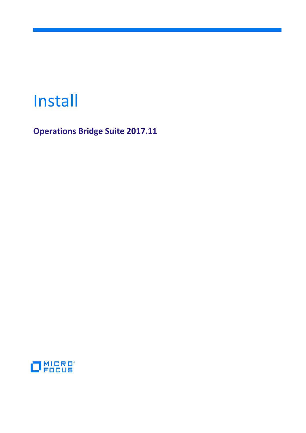# Install

**Operations Bridge Suite 2017.11**

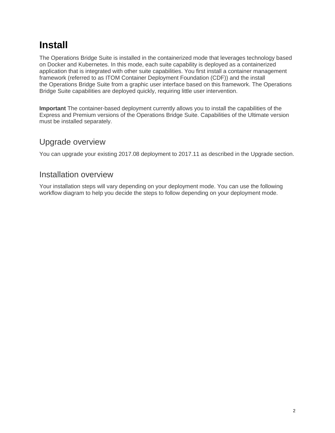# **[Install](https://docs.software.hpe.com/wiki/display/OB201711/Install)**

The Operations Bridge Suite is installed in the containerized mode that leverages technology based on Docker and Kubernetes. In this mode, each suite capability is deployed as a containerized application that is integrated with other suite capabilities. You first install a container management framework (referred to as ITOM Container Deployment Foundation (CDF)) and the install the Operations Bridge Suite from a graphic user interface based on this framework. The Operations Bridge Suite capabilities are deployed quickly, requiring little user intervention.

**Important** The container-based deployment currently allows you to install the capabilities of the Express and Premium versions of the Operations Bridge Suite. Capabilities of the Ultimate version must be installed separately.

# Upgrade overview

You can upgrade your existing 2017.08 deployment to 2017.11 as described in the Upgrade section.

# Installation overview

Your installation steps will vary depending on your deployment mode. You can use the following workflow diagram to help you decide the steps to follow depending on your deployment mode.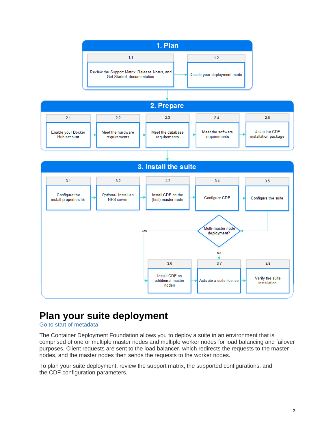

# **[Plan your suite deployment](https://docs.software.hpe.com/wiki/display/OB201711/Plan+your+suite+deployment)**

# Go to start of [metadata](https://docs.software.hpe.com/wiki/display/OB201711/Plan+your+suite+deployment#page-metadata-start)

The Container Deployment Foundation allows you to deploy a suite in an environment that is comprised of one or multiple master nodes and multiple worker nodes for load balancing and failover purposes. Client requests are sent to the load balancer, which redirects the requests to the master nodes, and the master nodes then sends the requests to the worker nodes.

To plan your suite deployment, review the support matrix, the supported configurations, and the CDF configuration parameters.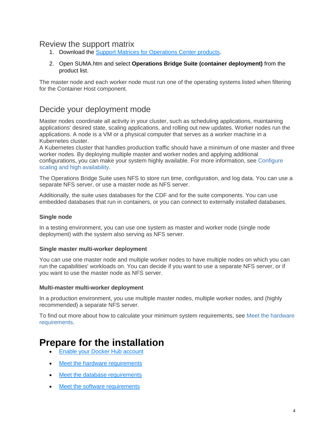# Review the support matrix

- 1. Download the [Support Matrices for Operations Center products.](https://softwaresupport.hpe.com/km/KM323488)
- 2. Open SUMA.htm and select **Operations Bridge Suite (container deployment)** from the product list.

The master node and each worker node must run one of the operating systems listed when filtering for the Container Host component.

# Decide your deployment mode

Master nodes coordinate all activity in your cluster, such as scheduling applications, maintaining applications' desired state, scaling applications, and rolling out new updates. Worker nodes run the applications. A node is a VM or a physical computer that serves as a worker machine in a Kubernetes cluster.

A Kubernetes cluster that handles production traffic should have a minimum of one master and three worker nodes. By deploying multiple master and worker nodes and applying additional configurations, you can make your system highly available. For more information, see [Configure](https://docs.software.hpe.com/wiki/display/OB201711/Configure+scaling+and+high+availability)  [scaling and high availability.](https://docs.software.hpe.com/wiki/display/OB201711/Configure+scaling+and+high+availability)

The Operations Bridge Suite uses NFS to store run time, configuration, and log data. You can use a separate NFS server, or use a master node as NFS server.

Additionally, the suite uses databases for the CDF and for the suite components. You can use embedded databases that run in containers, or you can connect to externally installed databases.

### **Single node**

In a testing environment, you can use one system as master and worker node (single node deployment) with the system also serving as NFS server.

### **Single master multi-worker deployment**

You can use one master node and multiple worker nodes to have multiple nodes on which you can run the capabilities' workloads on. You can decide if you want to use a separate NFS server, or if you want to use the master node as NFS server.

### **Multi-master multi-worker deployment**

In a production environment, you use multiple master nodes, multiple worker nodes, and (highly recommended) a separate NFS server.

To find out more about how to calculate your minimum system requirements, see [Meet the hardware](https://docs.software.hpe.com/wiki/display/OB201711/Meet+the+hardware+requirements)  [requirements.](https://docs.software.hpe.com/wiki/display/OB201711/Meet+the+hardware+requirements)

# **[Prepare for the installation](https://docs.software.hpe.com/wiki/display/OB201711/Prepare+for+the+installation)**

- [Enable your Docker Hub account](https://docs.software.hpe.com/wiki/display/OB201711/Enable+your+Docker+Hub+account)
- [Meet the hardware requirements](https://docs.software.hpe.com/wiki/display/OB201711/Meet+the+hardware+requirements)
- [Meet the database requirements](https://docs.software.hpe.com/wiki/display/OB201711/Meet+the+database+requirements)
- [Meet the software requirements](https://docs.software.hpe.com/wiki/display/OB201711/Meet+the+software+requirements)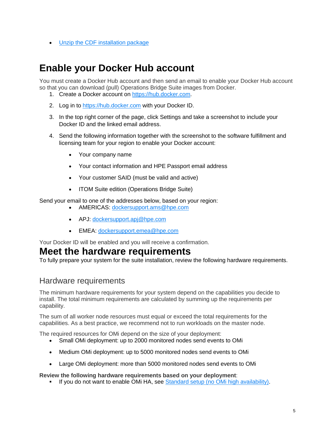• [Unzip the CDF installation package](https://docs.software.hpe.com/wiki/display/OB201711/Unzip+the+CDF+installation+package)

# **[Enable your Docker Hub account](https://docs.software.hpe.com/wiki/display/OB201711/Enable+your+Docker+Hub+account)**

You must create a Docker Hub account and then send an email to enable your Docker Hub account so that you can download (pull) Operations Bridge Suite images from Docker.

- 1. Create a Docker account on [https://hub.docker.com.](https://hub.docker.com/)
- 2. Log in to [https://hub.docker.com](https://hub.docker.com/) with your Docker ID.
- 3. In the top right corner of the page, click Settings and take a screenshot to include your Docker ID and the linked email address.
- 4. Send the following information together with the screenshot to the software fulfillment and licensing team for your region to enable your Docker account:
	- Your company name
	- Your contact information and HPE Passport email address
	- Your customer SAID (must be valid and active)
	- ITOM Suite edition (Operations Bridge Suite)

Send your email to one of the addresses below, based on your region:

- AMERICAS: [dockersupport.ams@hpe.com](mailto:dockersupport.ams@hpe.com)
- APJ: [dockersupport.apj@hpe.com](mailto:dockersupport.apj@hpe.com)
- EMEA: [dockersupport.emea@hpe.com](mailto:dockersupport.emea@hpe.com)

Your Docker ID will be enabled and you will receive a confirmation.

# **[Meet the hardware requirements](https://docs.software.hpe.com/wiki/display/OB201711/Meet+the+hardware+requirements)**

To fully prepare your system for the suite installation, review the following hardware requirements.

# Hardware requirements

The minimum hardware requirements for your system depend on the capabilities you decide to install. The total minimum requirements are calculated by summing up the requirements per capability.

The sum of all worker node resources must equal or exceed the total requirements for the capabilities. As a best practice, we recommend not to run workloads on the master node.

The required resources for OMi depend on the size of your deployment:

- Small OMi deployment: up to 2000 monitored nodes send events to OMi
- Medium OMi deployment: up to 5000 monitored nodes send events to OMi
- Large OMi deployment: more than 5000 monitored nodes send events to OMi

#### **Review the following hardware requirements based on your deployment**:

If you do not want to enable OMi HA, see [Standard setup \(no OMi high availability\).](https://docs.software.hpe.com/wiki/display/OB201711/Meet+the+hardware+requirements#Meetthehardwarerequirements-standard)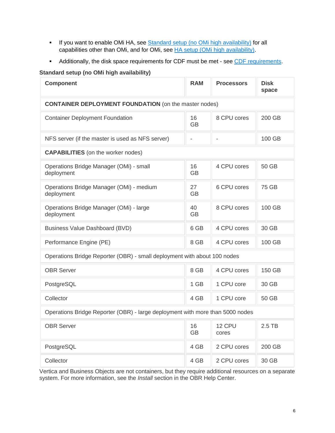- If you want to enable OMi HA, see [Standard setup \(no OMi high availability\)](https://docs.software.hpe.com/wiki/display/OB201711/Meet+the+hardware+requirements#Meetthehardwarerequirements-standard) for all capabilities other than OMi, and for OMi, see [HA setup \(OMi high availability\).](https://docs.software.hpe.com/wiki/display/OB201711/Meet+the+hardware+requirements#Meetthehardwarerequirements-HA)
- Additionally, the disk space requirements for CDF must be met see [CDF requirements.](https://docs.software.hpe.com/wiki/display/OB201711/Meet+the+hardware+requirements#Meetthehardwarerequirements-CDF)

### **Standard setup (no OMi high availability)**

| <b>Component</b>                                                              | <b>RAM</b>               | <b>Processors</b> | <b>Disk</b><br>space |
|-------------------------------------------------------------------------------|--------------------------|-------------------|----------------------|
| <b>CONTAINER DEPLOYMENT FOUNDATION</b> (on the master nodes)                  |                          |                   |                      |
| <b>Container Deployment Foundation</b>                                        | 16<br><b>GB</b>          | 8 CPU cores       | 200 GB               |
| NFS server (if the master is used as NFS server)                              | $\overline{\phantom{a}}$ |                   | 100 GB               |
| <b>CAPABILITIES</b> (on the worker nodes)                                     |                          |                   |                      |
| Operations Bridge Manager (OMi) - small<br>deployment                         | 16<br><b>GB</b>          | 4 CPU cores       | 50 GB                |
| Operations Bridge Manager (OMi) - medium<br>deployment                        | 27<br><b>GB</b>          | 6 CPU cores       | 75 GB                |
| Operations Bridge Manager (OMi) - large<br>deployment                         | 40<br><b>GB</b>          | 8 CPU cores       | 100 GB               |
| Business Value Dashboard (BVD)                                                | 6 GB                     | 4 CPU cores       | 30 GB                |
| Performance Engine (PE)                                                       | 8 GB                     | 4 CPU cores       | 100 GB               |
| Operations Bridge Reporter (OBR) - small deployment with about 100 nodes      |                          |                   |                      |
| <b>OBR Server</b>                                                             | 8 GB                     | 4 CPU cores       | 150 GB               |
| PostgreSQL                                                                    | 1 GB                     | 1 CPU core        | 30 GB                |
| Collector                                                                     | 4 GB                     | 1 CPU core        | 50 GB                |
| Operations Bridge Reporter (OBR) - large deployment with more than 5000 nodes |                          |                   |                      |
| <b>OBR Server</b>                                                             | 16<br><b>GB</b>          | 12 CPU<br>cores   | $2.5$ TB             |
| PostgreSQL                                                                    | 4 GB                     | 2 CPU cores       | 200 GB               |
| Collector                                                                     | 4 GB                     | 2 CPU cores       | 30 GB                |

Vertica and Business Objects are not containers, but they require additional resources on a separate system. For more information, see the *Install* section in the OBR Help Center.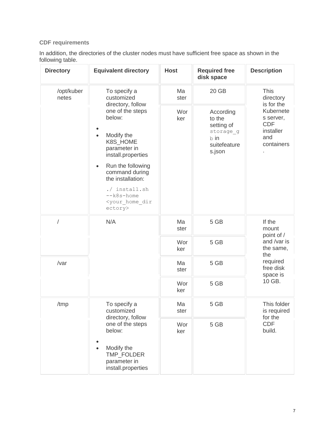# **CDF requirements**

In addition, the directories of the cluster nodes must have sufficient free space as shown in the following table.

| <b>Directory</b>    | <b>Equivalent directory</b>                                                                                                                                                                                                                                         | <b>Host</b> | <b>Required free</b><br>disk space                                               | <b>Description</b>                                                                           |
|---------------------|---------------------------------------------------------------------------------------------------------------------------------------------------------------------------------------------------------------------------------------------------------------------|-------------|----------------------------------------------------------------------------------|----------------------------------------------------------------------------------------------|
| /opt/kuber<br>netes | To specify a<br>customized<br>directory, follow                                                                                                                                                                                                                     | Ma<br>ster  | 20 GB                                                                            | <b>This</b><br>directory                                                                     |
|                     | one of the steps<br>below:<br>Modify the<br>$\bullet$<br>K8S_HOME<br>parameter in<br>install.properties<br>Run the following<br>$\bullet$<br>command during<br>the installation:<br>./ install.sh<br>$-\kappa8s$ -home<br><your dir<br="" home="">ectory&gt;</your> | Wor<br>ker  | According<br>to the<br>setting of<br>storage g<br>b in<br>suitefeature<br>s.json | is for the<br>Kubernete<br>s server,<br><b>CDF</b><br>installer<br>and<br>containers         |
| /                   | N/A                                                                                                                                                                                                                                                                 | Ma<br>ster  | 5 GB                                                                             | If the<br>mount                                                                              |
|                     |                                                                                                                                                                                                                                                                     | Wor<br>ker  | 5 GB                                                                             | point of /<br>and /var is<br>the same,<br>the<br>required<br>free disk<br>space is<br>10 GB. |
| /var                |                                                                                                                                                                                                                                                                     | Ma<br>ster  | 5 GB                                                                             |                                                                                              |
|                     |                                                                                                                                                                                                                                                                     | Wor<br>ker  | 5 GB                                                                             |                                                                                              |
| /tmp                | To specify a<br>customized<br>directory, follow                                                                                                                                                                                                                     | Ma<br>ster  | 5 GB                                                                             | This folder<br>is required<br>for the                                                        |
|                     | one of the steps<br>below:<br>Modify the<br>$\bullet$<br>TMP FOLDER<br>parameter in<br>install.properties                                                                                                                                                           | Wor<br>ker  | 5 GB                                                                             | <b>CDF</b><br>build.                                                                         |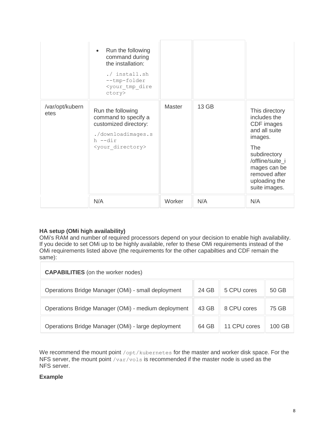|                         | Run the following<br>$\bullet$<br>command during<br>the installation:<br>./ install.sh<br>--tmp-folder<br><your dire<br="" tmp="">ctory&gt;</your> |               |       |                                                                                                                                                                                               |
|-------------------------|----------------------------------------------------------------------------------------------------------------------------------------------------|---------------|-------|-----------------------------------------------------------------------------------------------------------------------------------------------------------------------------------------------|
| /var/opt/kubern<br>etes | Run the following<br>command to specify a<br>customized directory:<br>./downloadimages.s<br>h --dir<br><your directory=""></your>                  | <b>Master</b> | 13 GB | This directory<br>includes the<br>CDF images<br>and all suite<br>images.<br><b>The</b><br>subdirectory<br>/offline/suite_i<br>mages can be<br>removed after<br>uploading the<br>suite images. |
|                         | N/A                                                                                                                                                | Worker        | N/A   | N/A                                                                                                                                                                                           |

# **HA setup (OMi high availability)**

OMi's RAM and number of required processors depend on your decision to enable high availability. If you decide to set OMi up to be highly available, refer to these OMi requirements instead of the OMi requirements listed above (the requirements for the other capabilties and CDF remain the same):

| <b>CAPABILITIES</b> (on the worker nodes)           |       |              |        |
|-----------------------------------------------------|-------|--------------|--------|
| Operations Bridge Manager (OMi) - small deployment  | 24 GB | 5 CPU cores  | 50 GB  |
| Operations Bridge Manager (OMi) - medium deployment | 43 GB | 8 CPU cores  | 75 GB  |
| Operations Bridge Manager (OMi) - large deployment  | 64 GB | 11 CPU cores | 100 GB |

We recommend the mount point /opt/kubernetes for the master and worker disk space. For the NFS server, the mount point /var/vols is recommended if the master node is used as the NFS server.

#### **Example**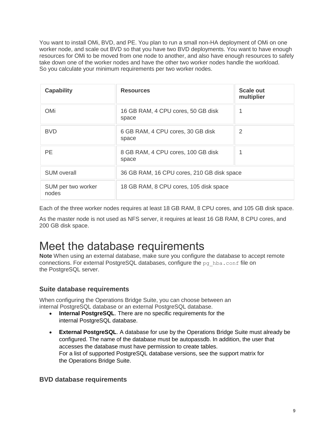You want to install OMi, BVD, and PE. You plan to run a small non-HA deployment of OMi on one worker node, and scale out BVD so that you have two BVD deployments. You want to have enough resources for OMi to be moved from one node to another, and also have enough resources to safely take down one of the worker nodes and have the other two worker nodes handle the workload. So you calculate your minimum requirements per two worker nodes.

| <b>Capability</b>           | <b>Resources</b>                            | <b>Scale out</b><br>multiplier |
|-----------------------------|---------------------------------------------|--------------------------------|
| <b>OMi</b>                  | 16 GB RAM, 4 CPU cores, 50 GB disk<br>space |                                |
| <b>BVD</b>                  | 6 GB RAM, 4 CPU cores, 30 GB disk<br>space  | 2                              |
| <b>PE</b>                   | 8 GB RAM, 4 CPU cores, 100 GB disk<br>space |                                |
| <b>SUM overall</b>          | 36 GB RAM, 16 CPU cores, 210 GB disk space  |                                |
| SUM per two worker<br>nodes | 18 GB RAM, 8 CPU cores, 105 disk space      |                                |

Each of the three worker nodes requires at least 18 GB RAM, 8 CPU cores, and 105 GB disk space.

As the master node is not used as NFS server, it requires at least 16 GB RAM, 8 CPU cores, and 200 GB disk space.

# [Meet the database requirements](https://docs.software.hpe.com/wiki/display/OB201711/Meet+the+database+requirements)

**Note** When using an external database, make sure you configure the database to accept remote connections. For external PostgreSQL databases, configure the  $pq$  hba.conf file on the PostgreSQL server.

# **Suite database requirements**

When configuring the Operations Bridge Suite, you can choose between an internal PostgreSQL database or an external PostgreSQL database.

- **Internal PostgreSQL**. There are no specific requirements for the internal PostgreSQL database.
- **External PostgreSQL**. A database for use by the Operations Bridge Suite must already be configured. The name of the database must be autopassdb. In addition, the user that accesses the database must have permission to create tables. For a list of supported PostgreSQL database versions, see the support matrix for the Operations Bridge Suite.

# **BVD database requirements**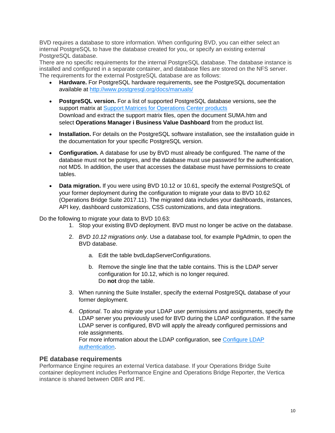BVD requires a database to store information. When configuring BVD, you can either select an internal PostgreSQL to have the database created for you, or specify an existing external PostgreSQL database.

There are no specific requirements for the internal PostgreSQL database. The database instance is installed and configured in a separate container, and database files are stored on the NFS server. The requirements for the external PostgreSQL database are as follows:

- **Hardware.** For PostgreSQL hardware requirements, see the PostgreSQL documentation available at <http://www.postgresql.org/docs/manuals/>
- **PostgreSQL version.** For a list of supported PostgreSQL database versions, see the support matrix at [Support Matrices for Operations Center products](https://softwaresupport.hpe.com/KM/KM323488) Download and extract the support matrix files, open the document SUMA.htm and select **Operations Manager i Business Value Dashboard** from the product list.
- **Installation.** For details on the PostgreSQL software installation, see the installation guide in the documentation for your specific PostgreSQL version.
- **Configuration.** A database for use by BVD must already be configured. The name of the database must not be postgres, and the database must use password for the authentication, not MD5. In addition, the user that accesses the database must have permissions to create tables.
- **Data migration.** If you were using BVD 10.12 or 10.61, specify the external PostgreSQL of your former deployment during the configuration to migrate your data to BVD 10.62 (Operations Bridge Suite 2017.11). The migrated data includes your dashboards, instances, API key, dashboard customizations, CSS customizations, and data integrations.

Do the following to migrate your data to BVD 10.63:

- 1. Stop your existing BVD deployment. BVD must no longer be active on the database.
- 2. *BVD 10.12 migrations only*. Use a database tool, for example PgAdmin, to open the BVD database.
	- a. Edit the table bvdLdapServerConfigurations.
	- b. Remove the single line that the table contains. This is the LDAP server configuration for 10.12, which is no longer required. Do **not** drop the table.
- 3. When running the Suite Installer, specify the external PostgreSQL database of your former deployment.
- 4. *Optional*. To also migrate your LDAP user permissions and assignments, specify the LDAP server you previously used for BVD during the LDAP configuration. If the same LDAP server is configured, BVD will apply the already configured permissions and role assignments. For more information about the LDAP configuration, see [Configure LDAP](https://docs.software.hpe.com/wiki/display/OB201711/Configure+LDAP+authentication)

[authentication.](https://docs.software.hpe.com/wiki/display/OB201711/Configure+LDAP+authentication)

# **PE database requirements**

Performance Engine requires an external Vertica database. If your Operations Bridge Suite container deployment includes Performance Engine and Operations Bridge Reporter, the Vertica instance is shared between OBR and PE.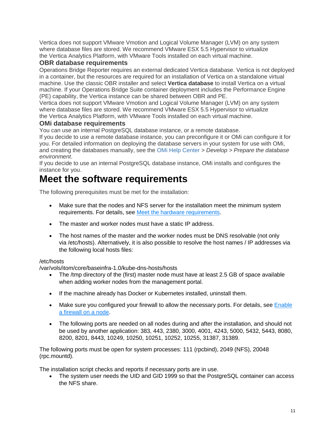Vertica does not support VMware Vmotion and Logical Volume Manager (LVM) on any system where database files are stored. We recommend VMware ESX 5.5 Hypervisor to virtualize the Vertica Analytics Platform, with VMware Tools installed on each virtual machine.

# **OBR database requirements**

Operations Bridge Reporter requires an external dedicated Vertica database. Vertica is not deployed in a container, but the resources are required for an installation of Vertica on a standalone virtual machine. Use the classic OBR installer and select **Vertica database** to install Vertica on a virtual machine. If your Operations Bridge Suite container deployment includes the Performance Engine (PE) capability, the Vertica instance can be shared between OBR and PE.

Vertica does not support VMware Vmotion and Logical Volume Manager (LVM) on any system where database files are stored. We recommend VMware ESX 5.5 Hypervisor to virtualize the Vertica Analytics Platform, with VMware Tools installed on each virtual machine.

# **OMi database requirements**

You can use an internal PostgreSQL database instance, or a remote database.

If you decide to use a remote database instance, you can preconfigure it or OMi can configure it for you. For detailed information on deploying the database servers in your system for use with OMi, and creating the databases manually, see the [OMi Help Center](https://docs.software.hpe.com/OMi) *> Develop > Prepare the database environment*.

If you decide to use an internal PostgreSQL database instance, OMi installs and configures the instance for you.

# **[Meet the software requirements](https://docs.software.hpe.com/wiki/display/OB201711/Meet+the+software+requirements)**

The following prerequisites must be met for the installation:

- Make sure that the nodes and NFS server for the installation meet the minimum system requirements. For details, see [Meet the hardware requirements.](https://docs.software.hpe.com/wiki/display/OB201711/Meet+the+hardware+requirements)
- The master and worker nodes must have a static IP address.
- The host names of the master and the worker nodes must be DNS resolvable (not only via /etc/hosts). Alternatively, it is also possible to resolve the host names / IP addresses via the following local hosts files:

# /etc/hosts

/var/vols/itom/core/baseinfra-1.0/kube-dns-hosts/hosts

- The /tmp directory of the (first) master node must have at least 2.5 GB of space available when adding worker nodes from the management portal.
- If the machine already has Docker or Kubernetes installed, uninstall them.
- $\bullet$  Make sure you configured your firewall to allow the necessary ports. For details, see Enable [a firewall on a node.](https://docs.software.hpe.com/wiki/display/OB201711/Enable+a+firewall+on+a+node)
- The following ports are needed on all nodes during and after the installation, and should not be used by another application: 383, 443, 2380, 3000, 4001, 4243, 5000, 5432, 5443, 8080, 8200, 8201, 8443, 10249, 10250, 10251, 10252, 10255, 31387, 31389.

The following ports must be open for system processes: 111 (rpcbind), 2049 (NFS), 20048 (rpc.mountd).

The installation script checks and reports if necessary ports are in use.

 The system user needs the UID and GID 1999 so that the PostgreSQL container can access the NFS share.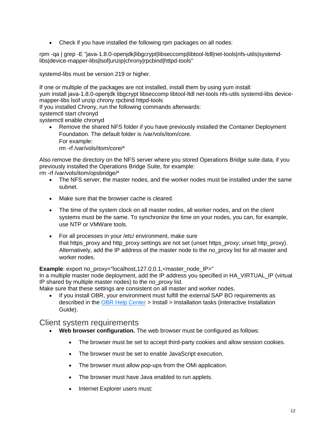• Check if you have installed the following rpm packages on all nodes:

rpm -qa | grep -E "java-1.8.0-openjdk|libgcrypt|libseccomp|libtool-ltdl|net-tools|nfs-utils|systemdlibs|device-mapper-libs|lsof|unzip|chrony|rpcbind|httpd-tools"

systemd-libs must be version 219 or higher.

If one or multiple of the packages are not installed, install them by using yum install:

yum install java-1.8.0-openjdk libgcrypt libseccomp libtool-ltdl net-tools nfs-utils systemd-libs devicemapper-libs lsof unzip chrony rpcbind httpd-tools

If you installed Chrony, run the following commands afterwards:

systemctl start chronyd

systemctl enable chronyd

 Remove the shared NFS folder if you have previously installed the Container Deployment Foundation. The default folder is /var/vols/itom/core. For example:

rm -rf /var/vols/itom/core/\*

Also remove the directory on the NFS server where you stored Operations Bridge suite data, if you previously installed the Operations Bridge Suite, for example:

rm -rf /var/vols/itom/opsbridge/\*

- The NFS server, the master nodes, and the worker nodes must be installed under the same subnet.
- Make sure that the browser cache is cleared.
- The time of the system clock on all master nodes, all worker nodes, and on the client systems must be the same. To synchronize the time on your nodes, you can, for example, use NTP or VMWare tools.
- For all processes in your /etc/ environment, make sure that https\_proxy and http\_proxy settings are not set (unset https\_proxy; unset http\_proxy). Alternatively, add the IP address of the master node to the no\_proxy list for all master and worker nodes.

**Example**: export no\_proxy="localhost,127.0.0.1,<master\_node\_IP>"

In a multiple master node deployment, add the IP address you specified in HA\_VIRTUAL\_IP (virtual IP shared by multiple master nodes) to the no\_proxy list.

Make sure that these settings are consistent on all master and worker nodes.

 If you install OBR, your environment must fulfill the external SAP BO requirements as described in the [OBR Help Center](https://docs.software.hpe.com/OBR) > Install > Installation tasks (interactive Installation Guide).

# Client system requirements

- **Web browser configuration.** The web browser must be configured as follows:
	- The browser must be set to accept third-party cookies and allow session cookies.
	- The browser must be set to enable JavaScript execution.
	- The browser must allow pop-ups from the OMi application.
	- The browser must have Java enabled to run applets.
	- Internet Explorer users must: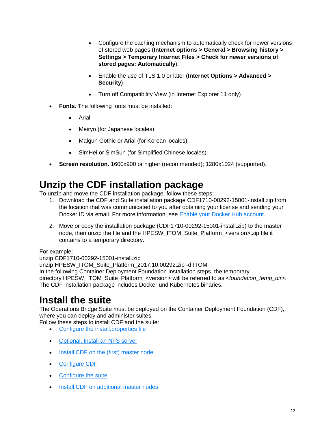- Configure the caching mechanism to automatically check for newer versions of stored web pages (**Internet options > General > Browsing history > Settings > Temporary Internet Files > Check for newer versions of stored pages: Automatically**).
- Enable the use of TLS 1.0 or later (**Internet Options > Advanced > Security**)
- Turn off Compatibility View (in Internet Explorer 11 only)
- **Fonts.** The following fonts must be installed:
	- Arial
	- Meiryo (for Japanese locales)
	- Malgun Gothic or Arial (for Korean locales)
	- SimHei or SimSun (for Simplified Chinese locales)
- **Screen resolution.** 1600x900 or higher (recommended); 1280x1024 (supported).

# **[Unzip the CDF installation package](https://docs.software.hpe.com/wiki/display/OB201711/Unzip+the+CDF+installation+package)**

To unzip and move the CDF installation package, follow these steps:

- 1. Download the CDF and Suite installation package CDF1710-00292-15001-install.zip from the location that was communicated to you after obtaining your license and sending your Docker ID via email. For more information, see [Enable your Docker Hub account.](https://docs.software.hpe.com/wiki/display/OB201711/Enable+your+Docker+Hub+account)
- 2. Move or copy the installation package (CDF1710-00292-15001-install.zip) to the master node, then unzip the file and the HPESW\_ITOM\_Suite\_Platform\_<version>.zip file it contains to a temporary directory.

# For example:

unzip CDF1710-00292-15001-install.zip unzip HPESW\_ITOM\_Suite\_Platform\_2017.10.00292.zip -d ITOM In the following Container Deployment Foundation installation steps, the temporary directory HPESW\_ITOM\_Suite\_Platform\_<version> will be referred to as <*foundation\_temp\_dir*>. The CDF installation package includes Docker und Kubernetes binaries.

# **[Install the suite](https://docs.software.hpe.com/wiki/display/OB201711/Install+the+suite)**

The Operations Bridge Suite must be deployed on the Container Deployment Foundation (CDF), where you can deploy and administer suites.

Follow these steps to install CDF and the suite:

- [Configure the install.properties file](https://docs.software.hpe.com/wiki/display/OB201711/Configure+the+install.properties+file)
- [Optional. Install an NFS server](https://docs.software.hpe.com/wiki/display/OB201711/Optional.+Install+an+NFS+server)
- [Install CDF on the \(first\) master node](https://docs.software.hpe.com/wiki/display/OB201711/Install+CDF+on+the+%28first%29+master+node)
- [Configure CDF](https://docs.software.hpe.com/wiki/display/OB201711/Configure+CDF)
- [Configure the suite](https://docs.software.hpe.com/wiki/display/OB201711/Configure+the+suite)
- [Install CDF on additional master nodes](https://docs.software.hpe.com/wiki/display/OB201711/Install+CDF+on+additional+master+nodes)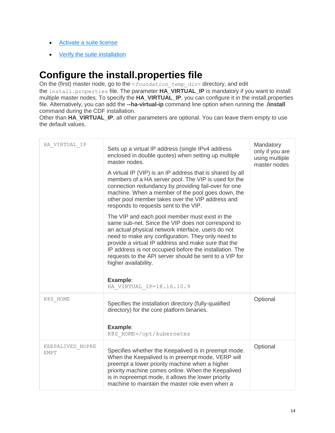- [Activate a suite license](https://docs.software.hpe.com/wiki/display/OB201711/Activate+a+suite+license)
- [Verify the suite installation](https://docs.software.hpe.com/wiki/display/OB201711/Verify+the+suite+installation)

# **[Configure the install.properties file](https://docs.software.hpe.com/wiki/display/OB201711/Configure+the+install.properties+file)**

On the (first) master node, go to the <foundation\_temp\_dir> directory, and edit the install.properties file. The parameter **HA\_VIRTUAL\_IP** is mandatory if you want to install multiple master nodes. To specify the **HA\_VIRTUAL\_IP**, you can configure it in the install.properties file. Alternatively, you can add the **--ha-virtual-ip** command line option when running the .**/install** command during the CDF installation.

Other than **HA\_VIRTUAL\_IP**, all other parameters are optional. You can leave them empty to use the default values.

| HA VIRTUAL IP            | Sets up a virtual IP address (single IPv4 address<br>enclosed in double quotes) when setting up multiple<br>master nodes.<br>A virtual IP (VIP) is an IP address that is shared by all<br>members of a HA server pool. The VIP is used for the<br>connection redundancy by providing fail-over for one<br>machine. When a member of the pool goes down, the<br>other pool member takes over the VIP address and<br>responds to requests sent to the VIP.<br>The VIP and each pool member must exist in the<br>same sub-net. Since the VIP does not correspond to<br>an actual physical network interface, users do not<br>need to make any configuration. They only need to<br>provide a virtual IP address and make sure that the<br>IP address is not occupied before the installation. The<br>requests to the API server should be sent to a VIP for<br>higher availability.<br>Example:<br>HA VIRTUAL IP=18.16.10.9 | Mandatory<br>only if you are<br>using multiple<br>master nodes |
|--------------------------|-------------------------------------------------------------------------------------------------------------------------------------------------------------------------------------------------------------------------------------------------------------------------------------------------------------------------------------------------------------------------------------------------------------------------------------------------------------------------------------------------------------------------------------------------------------------------------------------------------------------------------------------------------------------------------------------------------------------------------------------------------------------------------------------------------------------------------------------------------------------------------------------------------------------------|----------------------------------------------------------------|
| K8S HOME                 | Specifies the installation directory (fully-qualified<br>directory) for the core platform binaries.<br>Example:<br>K8S HOME=/opt/kubernetes                                                                                                                                                                                                                                                                                                                                                                                                                                                                                                                                                                                                                                                                                                                                                                             | Optional                                                       |
| KEEPALIVED NOPRE<br>EMPT | Specifies whether the Keepalived is in preempt mode.<br>When the Keepalived is in preempt mode, VERP will<br>preempt a lower priority machine when a higher<br>priority machine comes online. When the Keepalived<br>is in nopreempt mode, it allows the lower priority<br>machine to maintain the master role even when a                                                                                                                                                                                                                                                                                                                                                                                                                                                                                                                                                                                              | Optional                                                       |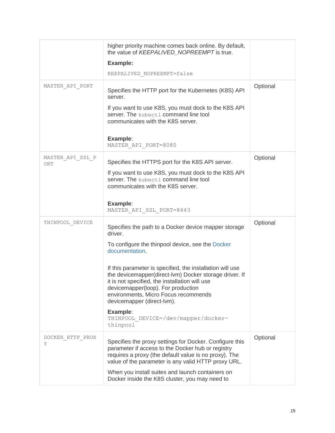|                         | higher priority machine comes back online. By default,<br>the value of KEEPALIVED_NOPREEMPT is true.<br><b>Example:</b><br>KEEPALIVED NOPREEMPT=false                                                                                                                                                                                                                                                                                                                                     |          |
|-------------------------|-------------------------------------------------------------------------------------------------------------------------------------------------------------------------------------------------------------------------------------------------------------------------------------------------------------------------------------------------------------------------------------------------------------------------------------------------------------------------------------------|----------|
| MASTER API PORT         | Specifies the HTTP port for the Kubernetes (K8S) API<br>server.<br>If you want to use K8S, you must dock to the K8S API<br>server. The kubect1 command line tool<br>communicates with the K8S server.<br>Example:<br>MASTER_API_PORT=8080                                                                                                                                                                                                                                                 | Optional |
| MASTER API SSL P<br>ORT | Specifies the HTTPS port for the K8S API server.<br>If you want to use K8S, you must dock to the K8S API<br>server. The kubect1 command line tool<br>communicates with the K8S server.<br>Example:<br>MASTER API SSL PORT=8443                                                                                                                                                                                                                                                            | Optional |
| THINPOOL DEVICE         | Specifies the path to a Docker device mapper storage<br>driver.<br>To configure the thinpool device, see the Docker<br>documentation.<br>If this parameter is specified, the installation will use<br>the devicemapper(direct-lvm) Docker storage driver. If<br>it is not specified, the installation will use<br>devicemapper(loop). For production<br>environments, Micro Focus recommends<br>devicemapper (direct-lvm).<br>Example:<br>THINPOOL DEVICE=/dev/mapper/docker-<br>thinpool | Optional |
| DOCKER HTTP PROX<br>Y   | Specifies the proxy settings for Docker. Configure this<br>parameter if access to the Docker hub or registry<br>requires a proxy (the default value is no proxy). The<br>value of the parameter is any valid HTTP proxy URL.<br>When you install suites and launch containers on<br>Docker inside the K8S cluster, you may need to                                                                                                                                                        | Optional |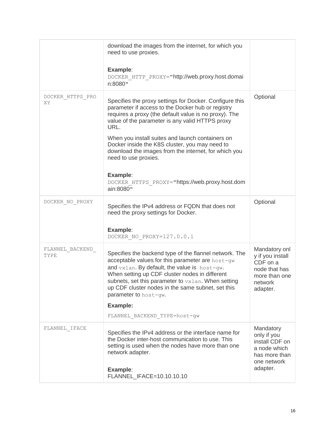|                         | download the images from the internet, for which you<br>need to use proxies.<br>Example:<br>DOCKER HTTP PROXY="http://web.proxy.host.domai                                                                                                                                                                                                          |                                                                                                        |
|-------------------------|-----------------------------------------------------------------------------------------------------------------------------------------------------------------------------------------------------------------------------------------------------------------------------------------------------------------------------------------------------|--------------------------------------------------------------------------------------------------------|
|                         | n:8080"                                                                                                                                                                                                                                                                                                                                             |                                                                                                        |
| DOCKER HTTPS PRO<br>ΧY  | Specifies the proxy settings for Docker. Configure this<br>parameter if access to the Docker hub or registry<br>requires a proxy (the default value is no proxy). The<br>value of the parameter is any valid HTTPS proxy<br>URL.<br>When you install suites and launch containers on<br>Docker inside the K8S cluster, you may need to              | Optional                                                                                               |
|                         | download the images from the internet, for which you<br>need to use proxies.                                                                                                                                                                                                                                                                        |                                                                                                        |
|                         | Example:<br>DOCKER HTTPS PROXY="https://web.proxy.host.dom<br>ain:8080"                                                                                                                                                                                                                                                                             |                                                                                                        |
| DOCKER NO PROXY         | Specifies the IPv4 address or FQDN that does not<br>need the proxy settings for Docker.                                                                                                                                                                                                                                                             | Optional                                                                                               |
|                         | Example:<br>DOCKER NO PROXY=127.0.0.1                                                                                                                                                                                                                                                                                                               |                                                                                                        |
| FLANNEL BACKEND<br>TYPE | Specifies the backend type of the flannel network. The<br>acceptable values for this parameter are host-gw<br>and vxlan. By default, the value is host-gw.<br>When setting up CDF cluster nodes in different<br>subnets, set this parameter to $vxlan$ . When setting<br>up CDF cluster nodes in the same subnet, set this<br>parameter to host-qw. | Mandatory onl<br>y if you install<br>CDF on a<br>node that has<br>more than one<br>network<br>adapter. |
|                         | Example:                                                                                                                                                                                                                                                                                                                                            |                                                                                                        |
|                         | FLANNEL_BACKEND_TYPE=host-gw                                                                                                                                                                                                                                                                                                                        |                                                                                                        |
| ${\tt FLANNEL\_IFACE}$  | Specifies the IPv4 address or the interface name for<br>the Docker inter-host communication to use. This<br>setting is used when the nodes have more than one<br>network adapter.                                                                                                                                                                   | Mandatory<br>only if you<br>install CDF on<br>a node which<br>has more than<br>one network<br>adapter. |
|                         | Example:<br>FLANNEL_IFACE=10.10.10.10                                                                                                                                                                                                                                                                                                               |                                                                                                        |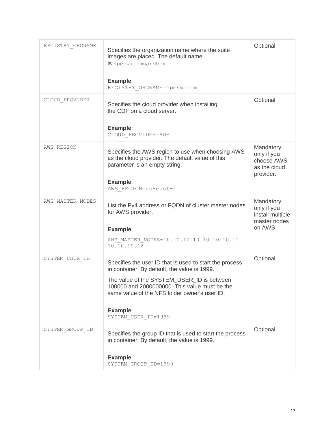| REGISTRY ORGNAME | Specifies the organization name where the suite<br>images are placed. The default name<br>is hpeswitomsandbox.<br>Example:<br>REGISTRY ORGNAME=hpeswitom                                                                                                                                   | Optional                                                                |
|------------------|--------------------------------------------------------------------------------------------------------------------------------------------------------------------------------------------------------------------------------------------------------------------------------------------|-------------------------------------------------------------------------|
| CLOUD PROVIDER   | Specifies the cloud provider when installing<br>the CDF on a cloud server.<br>Example:<br>CLOUD PROVIDER=AWS                                                                                                                                                                               | Optional                                                                |
| AWS REGION       | Specifies the AWS region to use when choosing AWS<br>as the cloud provider. The default value of this<br>parameter is an empty string.<br>Example:<br>AWS REGION=us-east-1                                                                                                                 | Mandatory<br>only if you<br>choose AWS<br>as the cloud<br>provider.     |
| AWS MASTER NODES | List the Pv4 address or FQDN of cluster master nodes<br>for AWS provider.<br>Example:<br>AWS MASTER NODES=10.10.10.10 10.10.10.11<br>10.10.10.12                                                                                                                                           | Mandatory<br>only if you<br>install multiple<br>master nodes<br>on AWS. |
| SYSTEM USER ID   | Specifies the user ID that is used to start the process<br>in container. By default, the value is 1999.<br>The value of the SYSTEM_USER_ID is between<br>100000 and 2000000000. This value must be the<br>same value of the NFS folder owner's user ID.<br>Example:<br>SYSTEM USER ID=1999 | Optional                                                                |
| SYSTEM GROUP ID  | Specifies the group ID that is used to start the process<br>in container. By default, the value is 1999.<br>Example:<br>SYSTEM GROUP ID=1999                                                                                                                                               | Optional                                                                |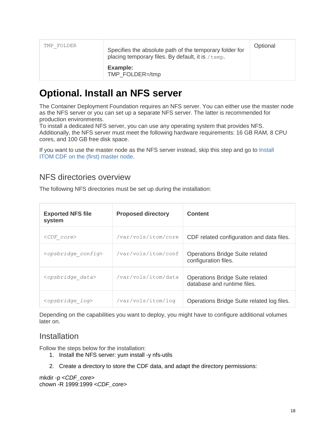| TMP FOLDER | Specifies the absolute path of the temporary folder for<br>placing temporary files. By default, it is /temp. |  |
|------------|--------------------------------------------------------------------------------------------------------------|--|
|            | Example:<br>TMP FOLDER=/tmp                                                                                  |  |

# **[Optional. Install an NFS server](https://docs.software.hpe.com/wiki/display/OB201711/Optional.+Install+an+NFS+server)**

The Container Deployment Foundation requires an NFS server. You can either use the master node as the NFS server or you can set up a separate NFS server. The latter is recommended for production environments.

To install a dedicated NFS server, you can use any operating system that provides NFS. Additionally, the NFS server must meet the following hardware requirements: 16 GB RAM, 8 CPU cores, and 100 GB free disk space.

If you want to use the master node as the NFS server instead, skip this step and go to [Install](https://docs.software.hpe.com/wiki/display/OB201711/Install+CDF+on+the+%28first%29+master+node)  ITOM [CDF on the \(first\) master node.](https://docs.software.hpe.com/wiki/display/OB201711/Install+CDF+on+the+%28first%29+master+node)

# NFS directories overview

The following NFS directories must be set up during the installation:

| <b>Exported NFS file</b><br>system | <b>Proposed directory</b> | <b>Content</b>                                                        |
|------------------------------------|---------------------------|-----------------------------------------------------------------------|
| $\langle CDF~core\rangle$          | /var/vols/itom/core       | CDF related configuration and data files.                             |
| <opsbridge config=""></opsbridge>  | /var/vols/itom/conf       | Operations Bridge Suite related<br>configuration files.               |
| <opsbridge data=""></opsbridge>    | /var/vols/itom/data       | <b>Operations Bridge Suite related</b><br>database and runtime files. |
| <opsbridge log=""></opsbridge>     | /var/vols/itom/log        | Operations Bridge Suite related log files.                            |

Depending on the capabilities you want to deploy, you might have to configure additional volumes later on.

# **Installation**

Follow the steps below for the installation:

- 1. Install the NFS server: yum install -y nfs-utils
- 2. Create a directory to store the CDF data, and adapt the directory permissions:

mkdir -p <*CDF\_core*> chown -R 1999:1999 <*CDF\_core*>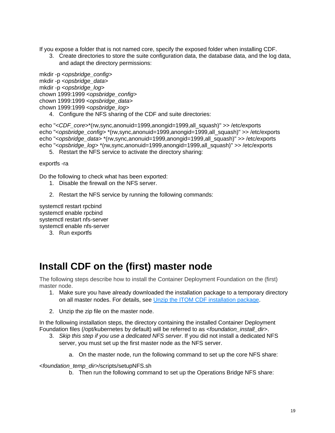If you expose a folder that is not named core, specify the exposed folder when installing CDF.

3. Create directories to store the suite configuration data, the database data, and the log data, and adapt the directory permissions:

mkdir -p <*opsbridge\_config*> mkdir -p <*opsbridge\_data*> mkdir -p <*opsbridge\_log*> chown 1999:1999 <*opsbridge\_config*> chown 1999:1999 <*opsbridge\_data*> chown 1999:1999 <*opsbridge\_log*>

4. Configure the NFS sharing of the CDF and suite directories:

echo "<*CDF\_core*>\*(rw,sync,anonuid=1999,anongid=1999,all\_squash)" >> /etc/exports echo "<*opsbridge\_config*> \*(rw,sync,anonuid=1999,anongid=1999,all\_squash)" >> /etc/exports echo "<*opsbridge\_data*> \*(rw,sync,anonuid=1999,anongid=1999,all\_squash)" >> /etc/exports echo "<*opsbridge\_log*> \*(rw,sync,anonuid=1999,anongid=1999,all\_squash)" >> /etc/exports

5. Restart the NFS service to activate the directory sharing:

exportfs -ra

Do the following to check what has been exported:

- 1. Disable the firewall on the NFS server.
- 2. Restart the NFS service by running the following commands:

systemctl restart rpcbind systemctl enable rpcbind systemctl restart nfs-server systemctl enable nfs-server

3. Run exportfs

# **[Install CDF on the \(first\) master node](https://docs.software.hpe.com/wiki/display/OB201711/Install+CDF+on+the+%28first%29+master+node)**

The following steps describe how to install the Container Deployment Foundation on the (first) master node.

- 1. Make sure you have already downloaded the installation package to a temporary directory on all master nodes. For details, see Unzip the ITOM [CDF installation package.](https://docs.software.hpe.com/wiki/display/OB201711/Unzip+the+CDF+installation+package)
- 2. Unzip the zip file on the master node.

In the following installation steps, the directory containing the installed Container Deployment Foundation files (/opt/kubernetes by default) will be referred to as <*foundation\_install\_dir*>.

- 3. *Skip this step if you use a dedicated NFS server*. If you did not install a dedicated NFS server, you must set up the first master node as the NFS server.
	- a. On the master node, run the following command to set up the core NFS share:

<*foundation\_temp\_dir*>/scripts/setupNFS.sh

b. Then run the following command to set up the Operations Bridge NFS share: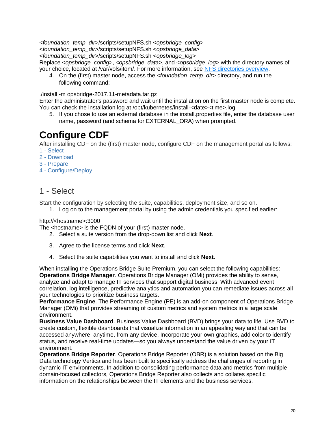<*foundation\_temp\_dir*>/scripts/setupNFS.sh <*opsbridge\_config*> <*foundation\_temp\_dir*>/scripts/setupNFS.sh <*opsbridge\_data*> <*foundation\_temp\_dir*>/scripts/setupNFS.sh <*opsbridge\_log*> Replace <*opsbridge\_config*>, <*opsbridge\_data*>, and <*opsbridge\_log*> with the directory names of your choice, located at /var/vols/itom/. For more information, see [NFS directories overview.](https://docs.software.hpe.com/wiki/display/OB201711/Optional.+Install+an+NFS+server#Optional.InstallanNFSserver-directories)

4. On the (first) master node, access the *<foundation temp dir*> directory, and run the following command:

./install -m opsbridge-2017.11-metadata.tar.gz

Enter the administrator's password and wait until the installation on the first master node is complete. You can check the installation log at /opt/kubernetes/install-<date><time>.log

5. If you chose to use an external database in the install.properties file, enter the database user name, password (and schema for EXTERNAL\_ORA) when prompted.

# **[Configure CDF](https://docs.software.hpe.com/wiki/display/OB201711/Configure+CDF)**

After installing CDF on the (first) master node, configure CDF on the management portal as follows:

- 1 [Select](https://docs.software.hpe.com/wiki/display/OB201711/Configure+CDF#ConfigureCDF-select)
- 2 [Download](https://docs.software.hpe.com/wiki/display/OB201711/Configure+CDF#ConfigureCDF-download)
- 3 [Prepare](https://docs.software.hpe.com/wiki/display/OB201711/Configure+CDF#ConfigureCDF-prepare)
- 4 [Configure/Deploy](https://docs.software.hpe.com/wiki/display/OB201711/Configure+CDF#ConfigureCDF-configure)

# 1 - Select

Start the configuration by selecting the suite, capabilities, deployment size, and so on.

1. Log on to the management portal by using the admin credentials you specified earlier:

### http://<hostname>:3000

The <hostname> is the FQDN of your (first) master node.

- 2. Select a suite version from the drop-down list and click **Next**.
- 3. Agree to the license terms and click **Next**.
- 4. Select the suite capabilities you want to install and click **Next**.

When installing the Operations Bridge Suite Premium, you can select the following capabilities: **Operations Bridge Manager**. Operations Bridge Manager (OMi) provides the ability to sense, analyze and adapt to manage IT services that support digital business. With advanced event correlation, log intelligence, predictive analytics and automation you can remediate issues across all your technologies to prioritize business targets.

**Performance Engine**. The Performance Engine (PE) is an add-on component of Operations Bridge Manager (OMi) that provides streaming of custom metrics and system metrics in a large scale environment.

**Business Value Dashboard**. Business Value Dashboard (BVD) brings your data to life. Use BVD to create custom, flexible dashboards that visualize information in an appealing way and that can be accessed anywhere, anytime, from any device. Incorporate your own graphics, add color to identify status, and receive real-time updates—so you always understand the value driven by your IT environment.

**Operations Bridge Reporter**. Operations Bridge Reporter (OBR) is a solution based on the Big Data technology Vertica and has been built to specifically address the challenges of reporting in dynamic IT environments. In addition to consolidating performance data and metrics from multiple domain-focused collectors, Operations Bridge Reporter also collects and collates specific information on the relationships between the IT elements and the business services.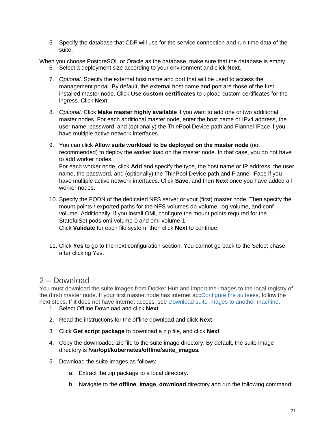5. Specify the database that CDF will use for the service connection and run-time data of the suite.

When you choose PostgreSQL or Oracle as the database, make sure that the database is empty.

- 6. Select a deployment size according to your environment and click **Next**.
- 7. *Optional*. Specify the external host name and port that will be used to access the management portal. By default, the external host name and port are those of the first installed master node. Click **Use custom certificates** to upload custom certificates for the ingress. Click **Next**.
- 8. *Optional*. Click **Make master highly available** if you want to add one or two additional master nodes. For each additional master node, enter the host name or IPv4 address, the user name, password, and (optionally) the ThinPool Device path and Flannel IFace if you have multiple active network interfaces.
- 9. You can click **Allow suite workload to be deployed on the master node** (not recommended) to deploy the worker load on the master node. In that case, you do not have to add worker nodes. For each worker node, click **Add** and specify the type, the host name or IP address, the user name, the password, and (optionally) the ThinPool Device path and Flannel IFace if you have multiple active network interfaces. Click **Save**, and then **Next** once you have added all worker nodes.
- 10. Specify the FQDN of the dedicated NFS server or your (first) master node. Then specify the mount points / exported paths for the NFS volumes db-volume, log-volume, and confvolume. Additionally, if you install OMi, configure the mount points required for the StatefulSet pods omi-volume-0 and omi-volume-1. Click **Validate** for each file system, then click **Next** to continue.
- 11. Click **Yes** to go to the next configuration section. You cannot go back to the Select phase after clicking Yes.

# 2 – Download

You must download the suite images from Docker Hub and import the images to the local registry of the (first) master node. If your first master node has internet ac[cConfigure the suitee](https://docs.software.hpe.com/wiki/display/OB201711/Configure+the+suite)ss, follow the next steps. If it does not have internet access, see [Download suite images to another machine.](https://docs.software.hpe.com/wiki/display/OB201711/Download+suite+images+to+another+machine)

- 1. Select Offline Download and click **Next**.
- 2. Read the instructions for the offline download and click **Next**.
- 3. Click **Get script package** to download a zip file, and click **Next**.
- 4. Copy the downloaded zip file to the suite image directory. By default, the suite image directory is **/var/opt/kubernetes/offline/suite\_images***.*
- 5. Download the suite images as follows:
	- a. Extract the zip package to a local directory.
	- b. Navigate to the **offline\_image\_download** directory and run the following command: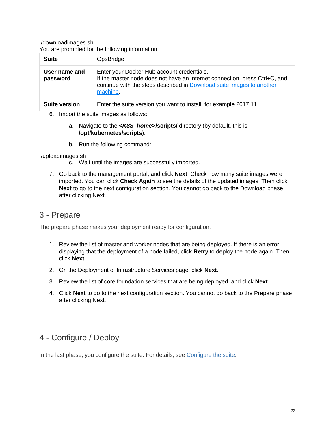./downloadimages.sh

You are prompted for the following information:

| <b>Suite</b>              | OpsBridge                                                                                                                                                                                                    |
|---------------------------|--------------------------------------------------------------------------------------------------------------------------------------------------------------------------------------------------------------|
| User name and<br>password | Enter your Docker Hub account credentials.<br>If the master node does not have an internet connection, press Ctrl+C, and<br>continue with the steps described in Download suite images to another<br>machine |
| <b>Suite version</b>      | Enter the suite version you want to install, for example 2017.11                                                                                                                                             |

- 6. Import the suite images as follows:
	- a. Navigate to the **<***K8S\_home***>/scripts/** directory (by default, this is **/opt/kubernetes/scripts**).
	- b. Run the following command:

./uploadimages.sh

- c. Wait until the images are successfully imported.
- 7. Go back to the management portal, and click **Next**. Check how many suite images were imported. You can click **Check Again** to see the details of the updated images. Then click **Next** to go to the next configuration section. You cannot go back to the Download phase after clicking Next.

# 3 - Prepare

The prepare phase makes your deployment ready for configuration.

- 1. Review the list of master and worker nodes that are being deployed. If there is an error displaying that the deployment of a node failed, click **Retry** to deploy the node again. Then click **Next**.
- 2. On the Deployment of Infrastructure Services page, click **Next**.
- 3. Review the list of core foundation services that are being deployed, and click **Next**.
- 4. Click **Next** to go to the next configuration section. You cannot go back to the Prepare phase after clicking Next.

# 4 - Configure / Deploy

In the last phase, you configure the suite. For details, see [Configure the suite.](https://docs.software.hpe.com/wiki/display/OB201711/Configure+the+suite)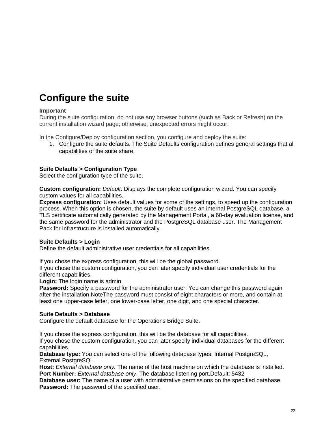# **[Configure the suite](https://docs.software.hpe.com/wiki/display/OB201711/Configure+the+suite)**

### **Important**

During the suite configuration, do not use any browser buttons (such as Back or Refresh) on the current installation wizard page; otherwise, unexpected errors might occur.

In the Configure/Deploy configuration section, you configure and deploy the suite:

1. Configure the suite defaults. The Suite Defaults configuration defines general settings that all capabilities of the suite share.

### **Suite Defaults > Configuration Type**

Select the configuration type of the suite.

**Custom configuration:** *Default*. Displays the complete configuration wizard. You can specify custom values for all capabilities.

**Express configuration:** Uses default values for some of the settings, to speed up the configuration process. When this option is chosen, the suite by default uses an internal PostgreSQL database, a TLS certificate automatically generated by the Management Portal, a 60-day evaluation license, and the same password for the administrator and the PostgreSQL database user. The Management Pack for Infrastructure is installed automatically.

### **Suite Defaults > Login**

Define the default administrative user credentials for all capabilities.

If you chose the express configuration, this will be the global password.

If you chose the custom configuration, you can later specify individual user credentials for the different capabilities.

**Login:** The login name is admin.

**Password:** Specify a password for the administrator user. You can change this password again after the installation.NoteThe password must consist of eight characters or more, and contain at least one upper-case letter, one lower-case letter, one digit, and one special character.

### **Suite Defaults > Database**

Configure the default database for the Operations Bridge Suite.

If you chose the express configuration, this will be the database for all capabilities.

If you chose the custom configuration, you can later specify individual databases for the different capabilities.

**Database type:** You can select one of the following database types: Internal PostgreSQL, External PostgreSQL.

**Host:** *External database only.* The name of the host machine on which the database is installed. **Port Number:** *External database only*. The database listening port.Default: 5432

**Database user:** The name of a user with administrative permissions on the specified database. **Password:** The password of the specified user.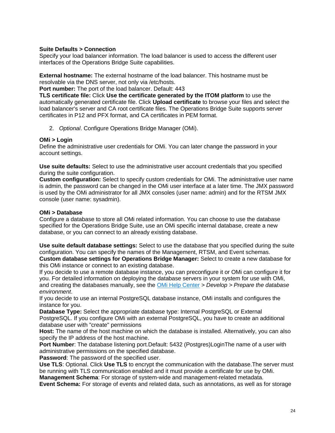### **Suite Defaults > Connection**

Specify your load balancer information. The load balancer is used to access the different user interfaces of the Operations Bridge Suite capabilities.

**External hostname:** The external hostname of the load balancer. This hostname must be resolvable via the DNS server, not only via /etc/hosts.

**Port number:** The port of the load balancer. Default: 443

**TLS certificate file:** Click **Use the certificate generated by the ITOM platform** to use the automatically generated certificate file. Click **Upload certificate** to browse your files and select the load balancer's server and CA root certificate files. The Operations Bridge Suite supports server certificates in P12 and PFX format, and CA certificates in PEM format.

2. *Optional*. Configure Operations Bridge Manager (OMi).

### **OMi > Login**

Define the administrative user credentials for OMi. You can later change the password in your account settings.

**Use suite defaults:** Select to use the administrative user account credentials that you specified during the suite configuration.

**Custom configuration:** Select to specify custom credentials for OMi. The administrative user name is admin, the password can be changed in the OMi user interface at a later time. The JMX password is used by the OMi administrator for all JMX consoles (user name: admin) and for the RTSM JMX console (user name: sysadmin).

### **OMi > Database**

Configure a database to store all OMi related information. You can choose to use the database specified for the Operations Bridge Suite, use an OMi specific internal database, create a new database, or you can connect to an already existing database.

**Use suite default database settings:** Select to use the database that you specified during the suite configuration. You can specify the names of the Management, RTSM, and Event schemas. **Custom database settings for Operations Bridge Manager:** Select to create a new database for this OMi instance or connect to an existing database.

If you decide to use a remote database instance, you can preconfigure it or OMi can configure it for you. For detailed information on deploying the database servers in your system for use with OMi, and creating the databases manually, see the [OMi Help Center](https://docs.software.hpe.com/OMi) *> Develop > Prepare the database environment*.

If you decide to use an internal PostgreSQL database instance, OMi installs and configures the instance for you.

**Database Type:** Select the appropriate database type: Internal PostgreSQL or External PostgreSQL. If you configure OMi with an external PostgreSQL, you have to create an additional database user with "create" permissions

**Host:** The name of the host machine on which the database is installed. Alternatively, you can also specify the IP address of the host machine.

**Port Number**: The database listening port.Default: 5432 (Postgres)LoginThe name of a user with administrative permissions on the specified database.

**Password**: The password of the specified user.

**Use TLS**: Optional. Click **Use TLS** to encrypt the communication with the database.The server must be running with TLS communication enabled and it must provide a certificate for use by OMi. **Management Schema**: For storage of system-wide and management-related metadata.

**Event Schema:** For storage of events and related data, such as annotations, as well as for storage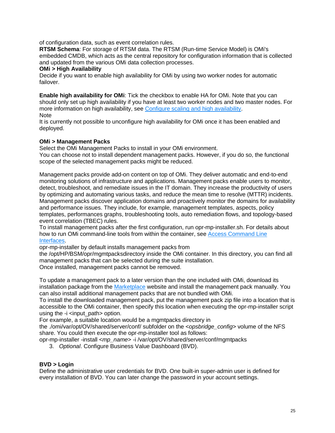of configuration data, such as event correlation rules.

**RTSM Schema**: For storage of RTSM data. The RTSM (Run-time Service Model) is OMi's embedded CMDB, which acts as the central repository for configuration information that is collected and updated from the various OMi data collection processes.

### **OMi > High Availability**

Decide if you want to enable high availability for OMi by using two worker nodes for automatic failover.

**Enable high availability for OMi**: Tick the checkbox to enable HA for OMi. Note that you can should only set up high availability if you have at least two worker nodes and two master nodes. For more information on high availability, see [Configure scaling and high availability.](https://docs.software.hpe.com/wiki/display/OB201711/Configure+scaling+and+high+availability) Note

It is currently not possible to unconfigure high availability for OMi once it has been enabled and deployed.

### **OMi > Management Packs**

Select the OMi Management Packs to install in your OMi environment.

You can choose not to install dependent management packs. However, if you do so, the functional scope of the selected management packs might be reduced.

Management packs provide add-on content on top of OMi. They deliver automatic and end-to-end monitoring solutions of infrastructure and applications. Management packs enable users to monitor, detect, troubleshoot, and remediate issues in the IT domain. They increase the productivity of users by optimizing and automating various tasks, and reduce the mean time to resolve (MTTR) incidents. Management packs discover application domains and proactively monitor the domains for availability and performance issues. They include, for example, management templates, aspects, policy templates, performances graphs, troubleshooting tools, auto remediation flows, and topology-based event correlation (TBEC) rules.

To install management packs after the first configuration, run opr-mp-installer.sh. For details about how to run OMi command-line tools from within the container, see [Access Command Line](file:///C:/OMi/trunk/OpsBridgeSuite_Portal_Help/Output/schmaehl/OpsBridgeSuite_PortalHelp/Content/OpsBridge_container/Administer/administer_suite_cli.htm)  [Interfaces.](file:///C:/OMi/trunk/OpsBridgeSuite_Portal_Help/Output/schmaehl/OpsBridgeSuite_PortalHelp/Content/OpsBridge_container/Administer/administer_suite_cli.htm)

opr-mp-installer by default installs management packs from

the /opt/HP/BSM/opr/mgmtpacksdirectory inside the OMi container. In this directory, you can find all management packs that can be selected during the suite installation.

Once installed, management packs cannot be removed.

To update a management pack to a later version than the one included with OMi, download its installation package from the [Marketplace](file:///C:/OMi/trunk/OpsBridgeSuite_Portal_Help/Output/schmaehl/OpsBridgeSuite_PortalHelp/Content/OpsBridge_Suite_install/https:/marketplace.saas.hpe.com/itom/category/opsb) website and install the management pack manually. You can also install additional management packs that are not bundled with OMi.

To install the downloaded management pack, put the management pack zip file into a location that is accessible to the OMi container, then specify this location when executing the opr-mp-installer script using the  $-i$   $\leq$  input path  $\geq$  option.

For example, a suitable location would be a mgmtpacks directory in

the ./omi/var/opt/OV/shared/server/conf/ subfolder on the <*opsbridge\_config*> volume of the NFS share. You could then execute the opr-mp-installer tool as follows:

opr-mp-installer -install <*mp\_name*> -i /var/opt/OV/shared/server/conf/mgmtpacks

3. *Optional*. Configure Business Value Dashboard (BVD).

# **BVD > Login**

Define the administrative user credentials for BVD. One built-in super-admin user is defined for every installation of BVD. You can later change the password in your account settings.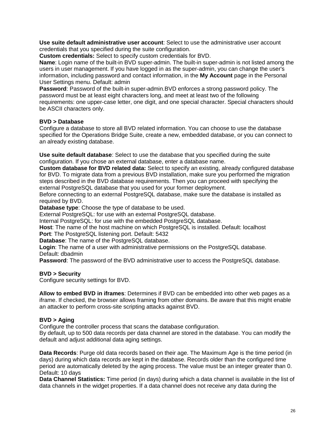**Use suite default administrative user account**: Select to use the administrative user account credentials that you specified during the suite configuration.

**Custom credentials:** Select to specify custom credentials for BVD.

**Name**: Login name of the built-in BVD super-admin. The built-in super-admin is not listed among the users in user management. If you have logged in as the super-admin, you can change the user's information, including password and contact information, in the **My Account** page in the Personal User Settings menu. Default: admin

**Password**: Password of the built-in super-admin.BVD enforces a strong password policy. The password must be at least eight characters long, and meet at least two of the following requirements: one upper-case letter, one digit, and one special character. Special characters should be ASCII characters only.

### **BVD > Database**

Configure a database to store all BVD related information. You can choose to use the database specified for the Operations Bridge Suite, create a new, embedded database, or you can connect to an already existing database.

**Use suite default database**: Select to use the database that you specified during the suite configuration. If you chose an external database, enter a database name.

**Custom database for BVD related data:** Select to specify an existing, already configured database for BVD. To migrate data from a previous BVD installation, make sure you performed the migration steps described in the BVD database requirements. Then you can proceed with specifying the external PostgreSQL database that you used for your former deployment.

Before connecting to an external PostgreSQL database, make sure the database is installed as required by BVD.

**Database type**: Choose the type of database to be used.

External PostgreSQL: for use with an external PostgreSQL database.

Internal PostgreSQL: for use with the embedded PostgreSQL database.

**Host**: The name of the host machine on which PostgreSQL is installed. Default: localhost **Port**: The PostgreSQL listening port. Default: 5432

**Database**: The name of the PostgreSQL database.

**Login**: The name of a user with administrative permissions on the PostgreSQL database. Default: dbadmin

**Password**: The password of the BVD administrative user to access the PostgreSQL database.

### **BVD > Security**

Configure security settings for BVD.

**Allow to embed BVD in iframes**: Determines if BVD can be embedded into other web pages as a iframe. If checked, the browser allows framing from other domains. Be aware that this might enable an attacker to perform cross-site scripting attacks against BVD.

### **BVD > Aging**

Configure the controller process that scans the database configuration.

By default, up to 500 data records per data channel are stored in the database. You can modify the default and adjust additional data aging settings.

**Data Records**: Purge old data records based on their age. The Maximum Age is the time period (in days) during which data records are kept in the database. Records older than the configured time period are automatically deleted by the aging process. The value must be an integer greater than 0. Default: 10 days

**Data Channel Statistics:** Time period (in days) during which a data channel is available in the list of data channels in the widget properties. If a data channel does not receive any data during the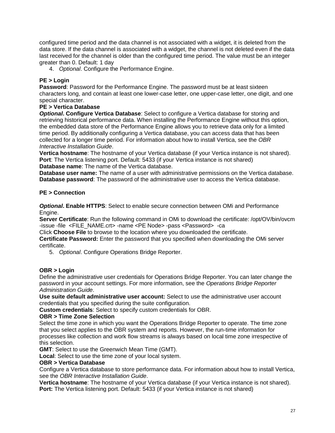configured time period and the data channel is not associated with a widget, it is deleted from the data store. If the data channel is associated with a widget, the channel is not deleted even if the data last received for the channel is older than the configured time period. The value must be an integer greater than 0. Default: 1 day

4. *Optional*. Configure the Performance Engine.

### **PE > Login**

**Password**: Password for the Performance Engine. The password must be at least sixteen characters long, and contain at least one lower-case letter, one upper-case letter, one digit, and one special character.

### **PE > Vertica Database**

*Optional***. Configure Vertica Database**: Select to configure a Vertica database for storing and retrieving historical performance data. When installing the Performance Engine without this option, the embedded data store of the Performance Engine allows you to retrieve data only for a limited time period. By additionally configuring a Vertica database, you can access data that has been collected for a longer time period. For information about how to install Vertica, see the *OBR Interactive Installation Guide*.

**Vertica hostname**: The hostname of your Vertica database (if your Vertica instance is not shared). **Port**: The Vertica listening port. Default: 5433 (if your Vertica instance is not shared) **Database name**: The name of the Vertica database.

**Database user name:** The name of a user with administrative permissions on the Vertica database. **Database password**: The password of the administrative user to access the Vertica database.

### **PE > Connection**

*Optional***. Enable HTTPS**: Select to enable secure connection between OMi and Performance Engine.

**Server Certificate**: Run the following command in OMi to download the certificate: /opt/OV/bin/ovcm -issue -file <FILE\_NAME.crt> -name <PE Node> -pass <Password> -ca

Click **Choose File** to browse to the location where you downloaded the certificate.

**Certificate Password:** Enter the password that you specified when downloading the OMi server certificate.

5. *Optional*. Configure Operations Bridge Reporter.

# **OBR > Login**

Define the administrative user credentials for Operations Bridge Reporter. You can later change the password in your account settings. For more information, see the *Operations Bridge Reporter Administration Guide*.

**Use suite default administrative user account:** Select to use the administrative user account credentials that you specified during the suite configuration.

**Custom credentials**: Select to specify custom credentials for OBR.

### **OBR > Time Zone Selection**

Select the time zone in which you want the Operations Bridge Reporter to operate. The time zone that you select applies to the OBR system and reports. However, the run-time information for processes like collection and work flow streams is always based on local time zone irrespective of this selection.

**GMT**: Select to use the Greenwich Mean Time (GMT).

**Local**: Select to use the time zone of your local system.

### **OBR > Vertica Database**

Configure a Vertica database to store performance data. For information about how to install Vertica, see the *OBR Interactive Installation Guide*.

**Vertica hostname**: The hostname of your Vertica database (if your Vertica instance is not shared). **Port:** The Vertica listening port. Default: 5433 (if your Vertica instance is not shared)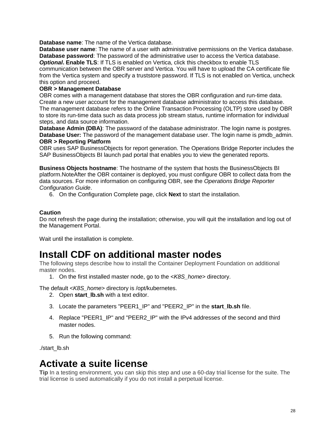**Database name**: The name of the Vertica database.

**Database user name**: The name of a user with administrative permissions on the Vertica database. **Database password**: The password of the administrative user to access the Vertica database. *Optional*. Enable TLS: If TLS is enabled on Vertica, click this checkbox to enable TLS communication between the OBR server and Vertica. You will have to upload the CA certificate file from the Vertica system and specify a truststore password. If TLS is not enabled on Vertica, uncheck this option and proceed.

### **OBR > Management Database**

OBR comes with a management database that stores the OBR configuration and run-time data. Create a new user account for the management database administrator to access this database. The management database refers to the Online Transaction Processing (OLTP) store used by OBR to store its run-time data such as data process job stream status, runtime information for individual steps, and data source information.

**Database Admin (DBA)**: The password of the database administrator. The login name is postgres. **Database User:** The password of the management database user. The login name is pmdb\_admin. **OBR > Reporting Platform**

OBR uses SAP BusinessObjects for report generation. The Operations Bridge Reporter includes the SAP BusinessObjects BI launch pad portal that enables you to view the generated reports.

**Business Objects hostname**: The hostname of the system that hosts the BusinessObjects BI platform.NoteAfter the OBR container is deployed, you must configure OBR to collect data from the data sources. For more information on configuring OBR, see the *Operations Bridge Reporter Configuration Guide*.

6. On the Configuration Complete page, click **Next** to start the installation.

### **Caution**

Do not refresh the page during the installation; otherwise, you will quit the installation and log out of the Management Portal.

Wait until the installation is complete.

# **[Install CDF on additional master nodes](https://docs.software.hpe.com/wiki/display/OB201711/Install+CDF+on+additional+master+nodes)**

The following steps describe how to install the Container Deployment Foundation on additional master nodes.

1. On the first installed master node, go to the <*K8S\_home*> directory.

The default <*K8S\_home*> directory is /opt/kubernetes.

- 2. Open **start\_lb.sh** with a text editor.
- 3. Locate the parameters "PEER1\_IP" and "PEER2\_IP" in the **start\_lb.sh** file.
- 4. Replace "PEER1\_IP" and "PEER2\_IP" with the IPv4 addresses of the second and third master nodes.
- 5. Run the following command:

./start\_lb.sh

# **[Activate a suite license](https://docs.software.hpe.com/wiki/display/OB201711/Activate+a+suite+license)**

**Tip** In a testing environment, you can skip this step and use a 60-day trial license for the suite. The trial license is used automatically if you do not install a perpetual license.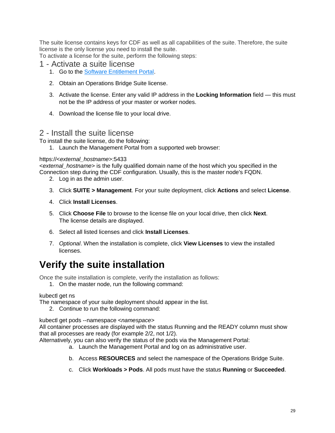The suite license contains keys for CDF as well as all capabilities of the suite. Therefore, the suite license is the only license you need to install the suite.

To activate a license for the suite, perform the following steps:

# 1 - Activate a suite license

- 1. Go to the [Software Entitlement Portal.](http://www.hpe.com/software/entitlements)
- 2. Obtain an Operations Bridge Suite license.
- 3. Activate the license. Enter any valid IP address in the **Locking Information** field this must not be the IP address of your master or worker nodes.
- 4. Download the license file to your local drive.

# 2 - Install the suite license

To install the suite license, do the following:

1. Launch the Management Portal from a supported web browser:

### https://<*external\_hostname*>:5433

<*external\_hostname*> is the fully qualified domain name of the host which you specified in the Connection step during the CDF configuration. Usually, this is the master node's FQDN.

- 2. Log in as the admin user.
- 3. Click **SUITE > Management**. For your suite deployment, click **Actions** and select **License**.
- 4. Click **Install Licenses**.
- 5. Click **Choose File** to browse to the license file on your local drive, then click **Next**. The license details are displayed.
- 6. Select all listed licenses and click **Install Licenses**.
- 7. *Optional*. When the installation is complete, click **View Licenses** to view the installed licenses.

# **[Verify the suite installation](https://docs.software.hpe.com/wiki/display/OB201711/Verify+the+suite+installation)**

Once the suite installation is complete, verify the installation as follows:

1. On the master node, run the following command:

### kubectl get ns

The namespace of your suite deployment should appear in the list.

2. Continue to run the following command:

kubectl get pods --namespace <*namespace*>

All container processes are displayed with the status Running and the READY column must show that all processes are ready (for example 2/2, not 1/2).

Alternatively, you can also verify the status of the pods via the Management Portal:

- a. Launch the Management Portal and log on as administrative user.
- b. Access **RESOURCES** and select the namespace of the Operations Bridge Suite.
- c. Click **Workloads > Pods**. All pods must have the status **Running** or **Succeeded**.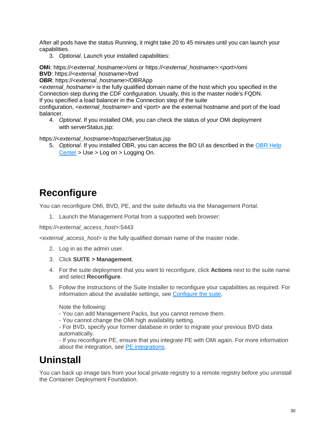After all pods have the status Running, it might take 20 to 45 minutes until you can launch your capabilities.

3. *Optional*. Launch your installed capabilities:

**OMi**: https://<*external\_hostname*>/omi or https://<*external\_hostname*>:<*port*>/omi **BVD**: https://<*external\_hostname*>/bvd

**OBR**: https://<*external\_hostname*>/OBRApp

<*external\_hostname*> is the fully qualified domain name of the host which you specified in the Connection step during the CDF configuration. Usually, this is the master node's FQDN. If you specified a load balancer in the Connection step of the suite

configuration, <*external\_hostname*> and <*port>* are the external hostname and port of the load balancer.

4. *Optional*. If you installed OMi, you can check the status of your OMi deployment with serverStatus.jsp:

https://<*external\_hostname*>/topaz/serverStatus.jsp

5. *Optional*. If you installed OBR, you can access the BO UI as described in the [OBR Help](https://docs.software.hpe.com/OBR)  [Center](https://docs.software.hpe.com/OBR) > Use > Log on > Logging On.

# **[Reconfigure](https://docs.software.hpe.com/wiki/display/OB201711/Reconfigure)**

You can reconfigure OMi, BVD, PE, and the suite defaults via the Management Portal.

1. Launch the Management Portal from a supported web browser:

https://<*external\_access\_host*>:5443

<*external\_access\_host*> is the fully qualified domain name of the master node.

- 2. Log in as the admin user.
- 3. Click **SUITE > Management**.
- 4. For the suite deployment that you want to reconfigure, click **Actions** next to the suite name and select **Reconfigure**.
- 5. Follow the instructions of the Suite Installer to reconfigure your capabilities as required. For information about the available settings, see [Configure the suite.](https://docs.software.hpe.com/wiki/display/OB201711/Configure+the+suite)

Note the following:

- You can add Management Packs, but you cannot remove them.
- You cannot change the OMi high availability setting.

- For BVD, specify your former database in order to migrate your previous BVD data automatically.

- If you reconfigure PE, ensure that you integrate PE with OMi again. For more information about the integration, see [PE integrations.](https://rndwiki.houston.softwaregrp.net/confluence/display/opsb201711/Integrate#Integrate-integrate_pe)

# **[Uninstall](https://docs.software.hpe.com/wiki/display/OB201711/Uninstall)**

You can back up image tars from your local private registry to a remote registry before you uninstall the Container Deployment Foundation.